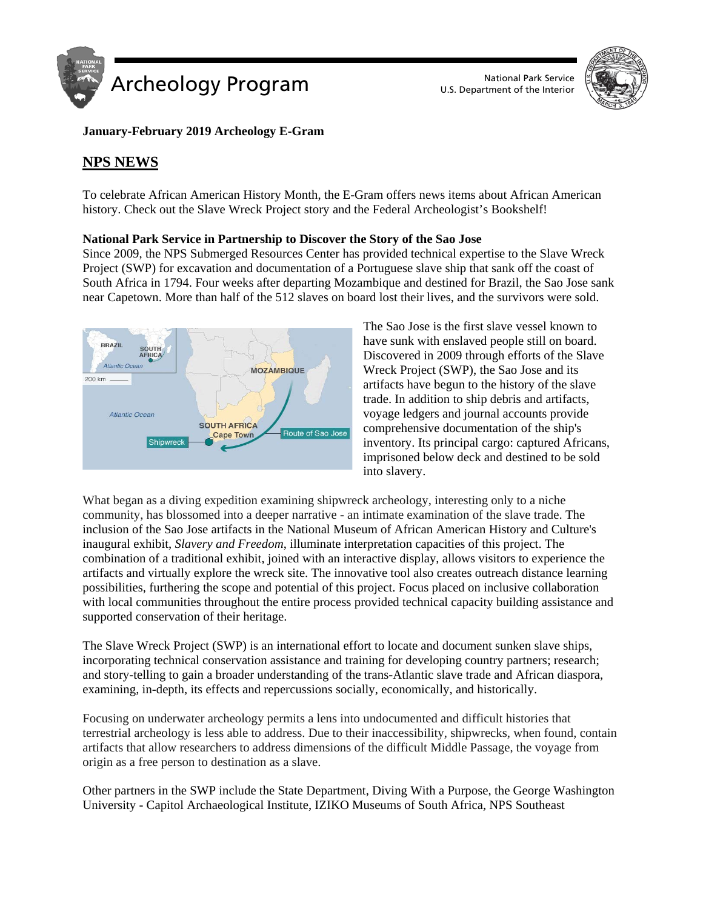



# **January-February 2019 Archeology E-Gram**

# **NPS NEWS**

To celebrate African American History Month, the E-Gram offers news items about African American history. Check out the Slave Wreck Project story and the Federal Archeologist's Bookshelf!

# **National Park Service in Partnership to Discover the Story of the Sao Jose**

Since 2009, the NPS Submerged Resources Center has provided technical expertise to the Slave Wreck Project (SWP) for excavation and documentation of a Portuguese slave ship that sank off the coast of South Africa in 1794. Four weeks after departing Mozambique and destined for Brazil, the Sao Jose sank near Capetown. More than half of the 512 slaves on board lost their lives, and the survivors were sold.



The Sao Jose is the first slave vessel known to have sunk with enslaved people still on board. Discovered in 2009 through efforts of the Slave Wreck Project (SWP), the Sao Jose and its artifacts have begun to the history of the slave trade. In addition to ship debris and artifacts, voyage ledgers and journal accounts provide comprehensive documentation of the ship's inventory. Its principal cargo: captured Africans, imprisoned below deck and destined to be sold into slavery.

What began as a diving expedition examining shipwreck archeology, interesting only to a niche community, has blossomed into a deeper narrative - an intimate examination of the slave trade. The inclusion of the Sao Jose artifacts in the National Museum of African American History and Culture's inaugural exhibit, *Slavery and Freedom*, illuminate interpretation capacities of this project. The combination of a traditional exhibit, joined with an interactive display, allows visitors to experience the artifacts and virtually explore the wreck site. The innovative tool also creates outreach distance learning possibilities, furthering the scope and potential of this project. Focus placed on inclusive collaboration with local communities throughout the entire process provided technical capacity building assistance and supported conservation of their heritage.

The Slave Wreck Project (SWP) is an international effort to locate and document sunken slave ships, incorporating technical conservation assistance and training for developing country partners; research; and story-telling to gain a broader understanding of the trans-Atlantic slave trade and African diaspora, examining, in-depth, its effects and repercussions socially, economically, and historically.

Focusing on underwater archeology permits a lens into undocumented and difficult histories that terrestrial archeology is less able to address. Due to their inaccessibility, shipwrecks, when found, contain artifacts that allow researchers to address dimensions of the difficult Middle Passage, the voyage from origin as a free person to destination as a slave.

Other partners in the SWP include the State Department, Diving With a Purpose, the George Washington University - Capitol Archaeological Institute, IZIKO Museums of South Africa, NPS Southeast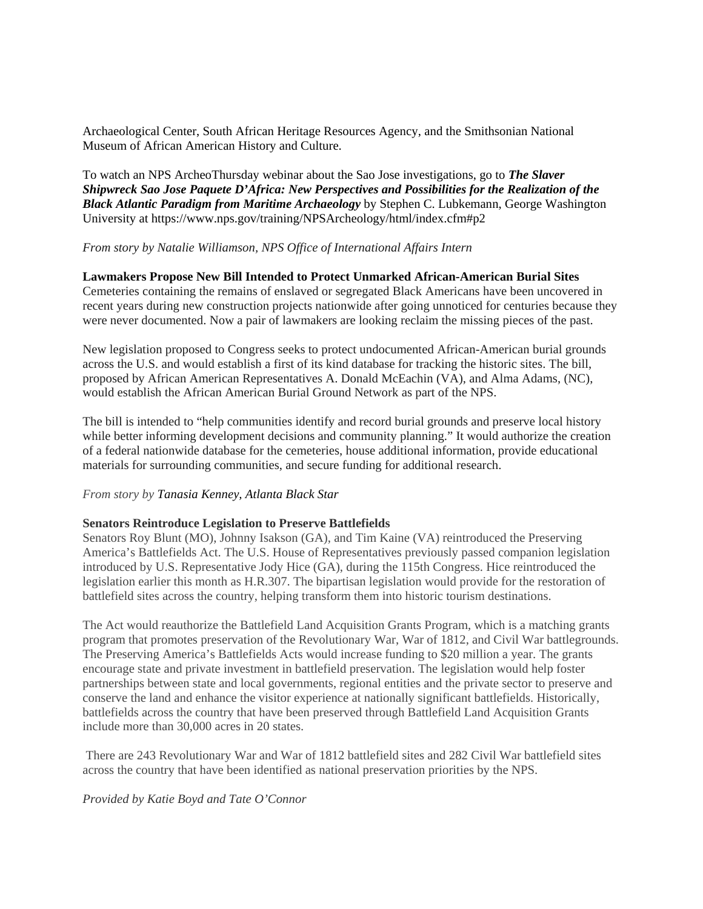Archaeological Center, South African Heritage Resources Agency, and the Smithsonian National Museum of African American History and Culture.

To watch an NPS ArcheoThursday webinar about the Sao Jose investigations, go to *The Slaver Shipwreck Sao Jose Paquete D'Africa: New Perspectives and Possibilities for the Realization of the Black Atlantic Paradigm from Maritime Archaeology* by Stephen C. Lubkemann, George Washington University at https://www.nps.gov/training/NPSArcheology/html/index.cfm#p2

#### *From story by Natalie Williamson, NPS Office of International Affairs Intern*

#### **Lawmakers Propose New Bill Intended to Protect Unmarked African-American Burial Sites**

Cemeteries containing the remains of enslaved or segregated Black Americans have been uncovered in recent years during new construction projects nationwide after going unnoticed for centuries because they were never documented. Now a pair of lawmakers are looking reclaim the missing pieces of the past.

New legislation proposed to Congress seeks to protect undocumented African-American burial grounds across the U.S. and would establish a first of its kind database for tracking the historic sites. The bill, proposed by African American Representatives A. Donald McEachin (VA), and Alma Adams, (NC), would establish the African American Burial Ground Network as part of the NPS.

The bill is intended to "help communities identify and record burial grounds and preserve local history while better informing development decisions and community planning." It would authorize the creation of a federal nationwide database for the cemeteries, house additional information, provide educational materials for surrounding communities, and secure funding for additional research.

#### *From story by Tanasia Kenney, Atlanta Black Star*

#### **Senators Reintroduce Legislation to Preserve Battlefields**

Senators Roy Blunt (MO), Johnny Isakson (GA), and Tim Kaine (VA) reintroduced the Preserving America's Battlefields Act. The U.S. House of Representatives previously passed companion legislation introduced by U.S. Representative Jody Hice (GA), during the 115th Congress. Hice reintroduced the legislation earlier this month as H.R.307. The bipartisan legislation would provide for the restoration of battlefield sites across the country, helping transform them into historic tourism destinations.

The Act would reauthorize the Battlefield Land Acquisition Grants Program, which is a matching grants program that promotes preservation of the Revolutionary War, War of 1812, and Civil War battlegrounds. The Preserving America's Battlefields Acts would increase funding to \$20 million a year. The grants encourage state and private investment in battlefield preservation. The legislation would help foster partnerships between state and local governments, regional entities and the private sector to preserve and conserve the land and enhance the visitor experience at nationally significant battlefields. Historically, battlefields across the country that have been preserved through Battlefield Land Acquisition Grants include more than 30,000 acres in 20 states.

There are 243 Revolutionary War and War of 1812 battlefield sites and 282 Civil War battlefield sites across the country that have been identified as national preservation priorities by the NPS.

#### *Provided by Katie Boyd and Tate O'Connor*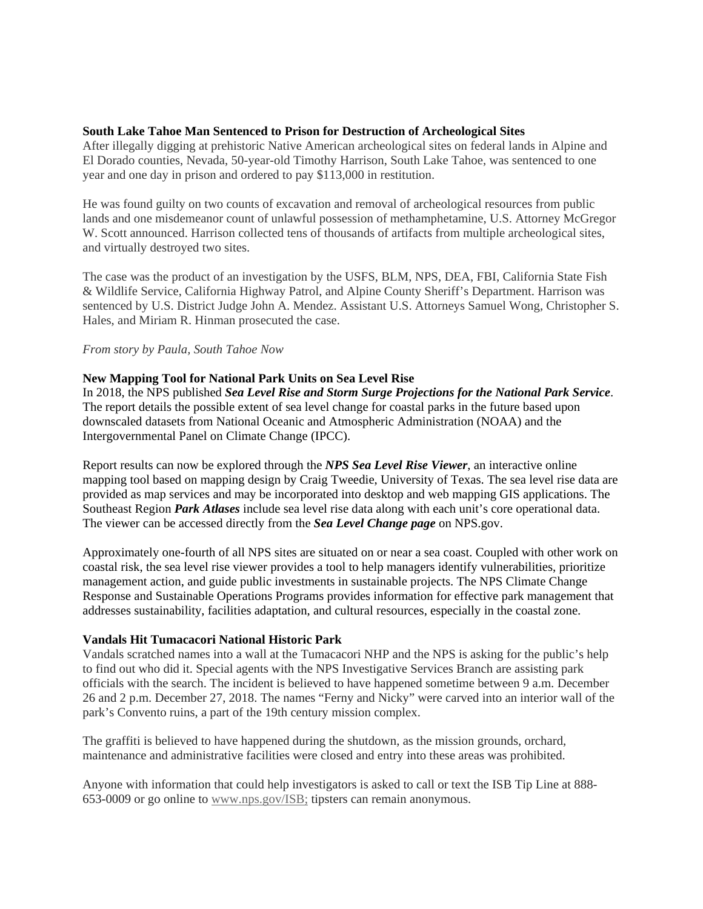#### **South Lake Tahoe Man Sentenced to Prison for Destruction of Archeological Sites**

After illegally digging at prehistoric Native American archeological sites on federal lands in Alpine and El Dorado counties, Nevada, 50-year-old Timothy Harrison, South Lake Tahoe, was sentenced to one year and one day in prison and ordered to pay \$113,000 in restitution.

He was found guilty on two counts of excavation and removal of archeological resources from public lands and one misdemeanor count of unlawful possession of methamphetamine, U.S. Attorney McGregor W. Scott announced. Harrison collected tens of thousands of artifacts from multiple archeological sites, and virtually destroyed two sites.

The case was the product of an investigation by the USFS, BLM, NPS, DEA, FBI, California State Fish & Wildlife Service, California Highway Patrol, and Alpine County Sheriff's Department. Harrison was sentenced by U.S. District Judge John A. Mendez. Assistant U.S. Attorneys Samuel Wong, Christopher S. Hales, and Miriam R. Hinman prosecuted the case.

#### *From story by Paula, South Tahoe Now*

#### **New Mapping Tool for National Park Units on Sea Level Rise**

In 2018, the NPS published *Sea Level Rise and Storm Surge Projections for the National Park Service*. The report details the possible extent of sea level change for coastal parks in the future based upon downscaled datasets from National Oceanic and Atmospheric Administration (NOAA) and the Intergovernmental Panel on Climate Change (IPCC).

Report results can now be explored through the *[NPS Sea Level Rise Viewer](https://www.google.com/url?q=https%3A%2F%2Fmaps.nps.gov%2Fslr%2F&sa=D&sntz=1&usg=AFQjCNEfaaKkbWVQ015AJzE7LrlK7pfFIg)*, an interactive online mapping tool based on mapping design by Craig Tweedie, University of Texas. The sea level rise data are provided as map services and may be incorporated into desktop and web mapping GIS applications. The Southeast Region *Park Atlases* include sea level rise data along with each unit's core operational data. The viewer can be accessed directly from the *Sea Level Change page* on NPS.gov.

Approximately one-fourth of all NPS sites are situated on or near a sea coast. Coupled with other work on coastal risk, the sea level rise viewer provides a tool to help managers identify vulnerabilities, prioritize management action, and guide public investments in sustainable projects. The NPS Climate Change Response and Sustainable Operations Programs provides information for effective park management that addresses sustainability, facilities adaptation, and cultural resources, especially in the coastal zone.

#### **Vandals Hit Tumacacori National Historic Park**

Vandals scratched names into a wall at the Tumacacori NHP and the NPS is asking for the public's help to find out who did it. Special agents with the NPS Investigative Services Branch are assisting park officials with the search. The incident is believed to have happened sometime between 9 a.m. December 26 and 2 p.m. December 27, 2018. The names "Ferny and Nicky" were carved into an interior wall of the park's Convento ruins, a part of the 19th century mission complex.

The graffiti is believed to have happened during the shutdown, as the mission grounds, orchard, maintenance and administrative facilities were closed and entry into these areas was prohibited.

Anyone with information that could help investigators is asked to call or text the ISB Tip Line at 888- 653-0009 or go online to [www.nps.gov/ISB;](http://www.nps.gov/ISB;) tipsters can remain anonymous.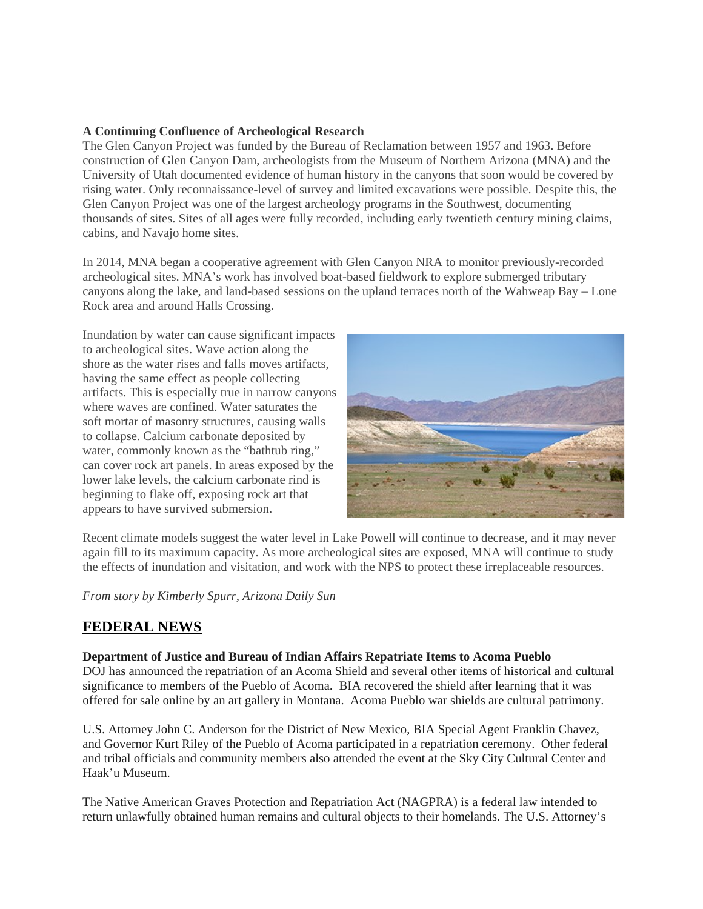## **A Continuing Confluence of Archeological Research**

The Glen Canyon Project was funded by the Bureau of Reclamation between 1957 and 1963. Before construction of Glen Canyon Dam, archeologists from the Museum of Northern Arizona (MNA) and the University of Utah documented evidence of human history in the canyons that soon would be covered by rising water. Only reconnaissance-level of survey and limited excavations were possible. Despite this, the Glen Canyon Project was one of the largest archeology programs in the Southwest, documenting thousands of sites. Sites of all ages were fully recorded, including early twentieth century mining claims, cabins, and Navajo home sites.

In 2014, MNA began a cooperative agreement with Glen Canyon NRA to monitor previously-recorded archeological sites. MNA's work has involved boat-based fieldwork to explore submerged tributary canyons along the lake, and land-based sessions on the upland terraces north of the Wahweap Bay – Lone Rock area and around Halls Crossing.

Inundation by water can cause significant impacts to archeological sites. Wave action along the shore as the water rises and falls moves artifacts, having the same effect as people collecting artifacts. This is especially true in narrow canyons where waves are confined. Water saturates the soft mortar of masonry structures, causing walls to collapse. Calcium carbonate deposited by water, commonly known as the "bathtub ring," can cover rock art panels. In areas exposed by the lower lake levels, the calcium carbonate rind is beginning to flake off, exposing rock art that appears to have survived submersion.



Recent climate models suggest the water level in Lake Powell will continue to decrease, and it may never again fill to its maximum capacity. As more archeological sites are exposed, MNA will continue to study the effects of inundation and visitation, and work with the NPS to protect these irreplaceable resources.

*From story by Kimberly Spurr, Arizona Daily Sun*

# **FEDERAL NEWS**

## **Department of Justice and Bureau of Indian Affairs Repatriate Items to Acoma Pueblo**

DOJ has announced the repatriation of an Acoma Shield and several other items of historical and cultural significance to members of the Pueblo of Acoma. BIA recovered the shield after learning that it was offered for sale online by an art gallery in Montana. Acoma Pueblo war shields are cultural patrimony.

U.S. Attorney John C. Anderson for the District of New Mexico, BIA Special Agent Franklin Chavez, and Governor Kurt Riley of the Pueblo of Acoma participated in a repatriation ceremony. Other federal and tribal officials and community members also attended the event at the Sky City Cultural Center and Haak'u Museum.

The Native American Graves Protection and Repatriation Act (NAGPRA) is a federal law intended to return unlawfully obtained human remains and cultural objects to their homelands. The U.S. Attorney's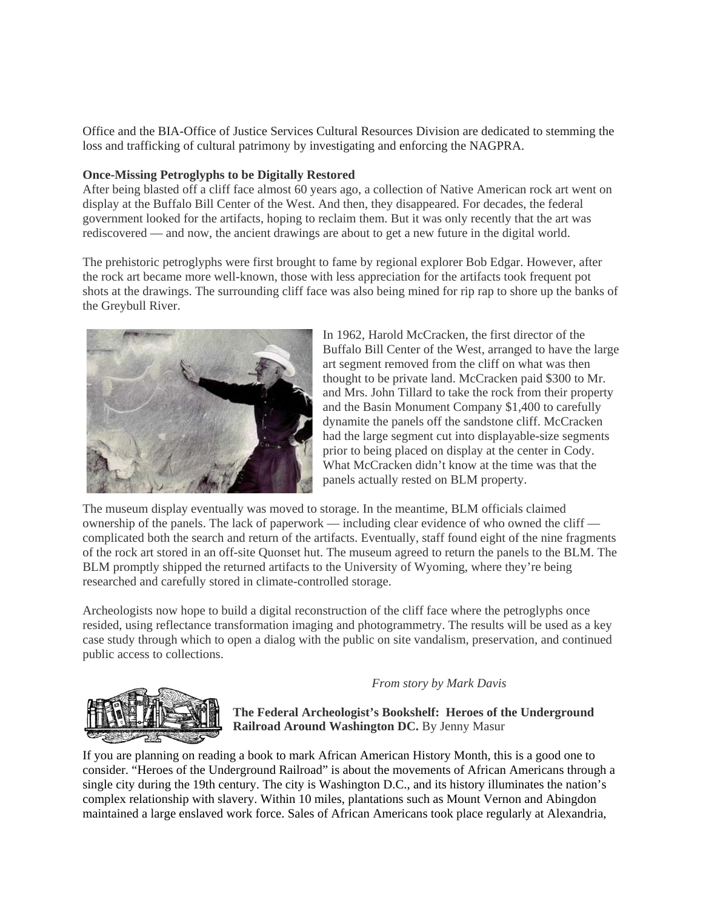Office and the BIA-Office of Justice Services Cultural Resources Division are dedicated to stemming the loss and trafficking of cultural patrimony by investigating and enforcing the NAGPRA.

### **Once-Missing Petroglyphs to be Digitally Restored**

After being blasted off a cliff face almost 60 years ago, a collection of Native American rock art went on display at the Buffalo Bill Center of the West. And then, they disappeared. For decades, the federal government looked for the artifacts, hoping to reclaim them. But it was only recently that the art was rediscovered — and now, the ancient drawings are about to get a new future in the digital world.

The prehistoric petroglyphs were first brought to fame by regional explorer Bob Edgar. However, after the rock art became more well-known, those with less appreciation for the artifacts took frequent pot shots at the drawings. The surrounding cliff face was also being mined for rip rap to shore up the banks of the Greybull River.



In 1962, Harold McCracken, the first director of the Buffalo Bill Center of the West, arranged to have the large art segment removed from the cliff on what was then thought to be private land. McCracken paid \$300 to Mr. and Mrs. John Tillard to take the rock from their property and the Basin Monument Company \$1,400 to carefully dynamite the panels off the sandstone cliff. McCracken had the large segment cut into displayable-size segments prior to being placed on display at the center in Cody. What McCracken didn't know at the time was that the panels actually rested on BLM property.

The museum display eventually was moved to storage. In the meantime, BLM officials claimed ownership of the panels. The lack of paperwork — including clear evidence of who owned the cliff complicated both the search and return of the artifacts. Eventually, staff found eight of the nine fragments of the rock art stored in an off-site Quonset hut. The museum agreed to return the panels to the BLM. The BLM promptly shipped the returned artifacts to the University of Wyoming, where they're being researched and carefully stored in climate-controlled storage.

Archeologists now hope to build a digital reconstruction of the cliff face where the petroglyphs once resided, using reflectance transformation imaging and photogrammetry. The results will be used as a key case study through which to open a dialog with the public on site vandalism, preservation, and continued public access to collections.

*From story by Mark Davis*



**The Federal Archeologist's Bookshelf: Heroes of the Underground Railroad Around Washington DC.** By Jenny Masur

If you are planning on reading a book to mark African American History Month, this is a good one to consider. "Heroes of the Underground Railroad" is about the movements of African Americans through a single city during the 19th century. The city is Washington D.C., and its history illuminates the nation's complex relationship with slavery. Within 10 miles, plantations such as Mount Vernon and Abingdon maintained a large enslaved work force. Sales of African Americans took place regularly at Alexandria,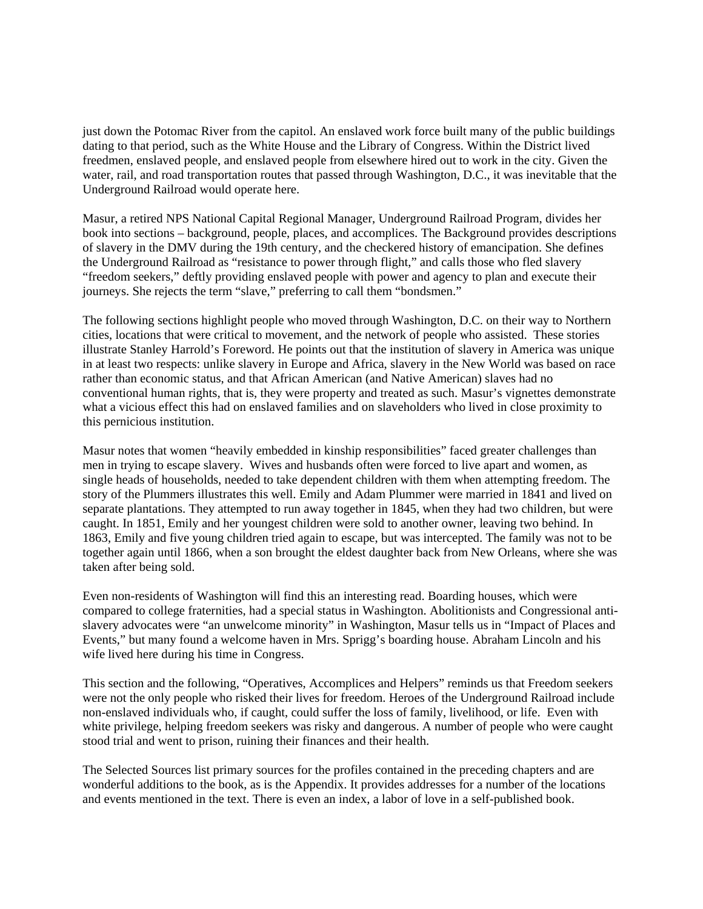just down the Potomac River from the capitol. An enslaved work force built many of the public buildings dating to that period, such as the White House and the Library of Congress. Within the District lived freedmen, enslaved people, and enslaved people from elsewhere hired out to work in the city. Given the water, rail, and road transportation routes that passed through Washington, D.C., it was inevitable that the Underground Railroad would operate here.

Masur, a retired NPS National Capital Regional Manager, Underground Railroad Program, divides her book into sections – background, people, places, and accomplices. The Background provides descriptions of slavery in the DMV during the 19th century, and the checkered history of emancipation. She defines the Underground Railroad as "resistance to power through flight," and calls those who fled slavery "freedom seekers," deftly providing enslaved people with power and agency to plan and execute their journeys. She rejects the term "slave," preferring to call them "bondsmen."

The following sections highlight people who moved through Washington, D.C. on their way to Northern cities, locations that were critical to movement, and the network of people who assisted. These stories illustrate Stanley Harrold's Foreword. He points out that the institution of slavery in America was unique in at least two respects: unlike slavery in Europe and Africa, slavery in the New World was based on race rather than economic status, and that African American (and Native American) slaves had no conventional human rights, that is, they were property and treated as such. Masur's vignettes demonstrate what a vicious effect this had on enslaved families and on slaveholders who lived in close proximity to this pernicious institution.

Masur notes that women "heavily embedded in kinship responsibilities" faced greater challenges than men in trying to escape slavery. Wives and husbands often were forced to live apart and women, as single heads of households, needed to take dependent children with them when attempting freedom. The story of the Plummers illustrates this well. Emily and Adam Plummer were married in 1841 and lived on separate plantations. They attempted to run away together in 1845, when they had two children, but were caught. In 1851, Emily and her youngest children were sold to another owner, leaving two behind. In 1863, Emily and five young children tried again to escape, but was intercepted. The family was not to be together again until 1866, when a son brought the eldest daughter back from New Orleans, where she was taken after being sold.

Even non-residents of Washington will find this an interesting read. Boarding houses, which were compared to college fraternities, had a special status in Washington. Abolitionists and Congressional antislavery advocates were "an unwelcome minority" in Washington, Masur tells us in "Impact of Places and Events," but many found a welcome haven in Mrs. Sprigg's boarding house. Abraham Lincoln and his wife lived here during his time in Congress.

This section and the following, "Operatives, Accomplices and Helpers" reminds us that Freedom seekers were not the only people who risked their lives for freedom. Heroes of the Underground Railroad include non-enslaved individuals who, if caught, could suffer the loss of family, livelihood, or life. Even with white privilege, helping freedom seekers was risky and dangerous. A number of people who were caught stood trial and went to prison, ruining their finances and their health.

The Selected Sources list primary sources for the profiles contained in the preceding chapters and are wonderful additions to the book, as is the Appendix. It provides addresses for a number of the locations and events mentioned in the text. There is even an index, a labor of love in a self-published book.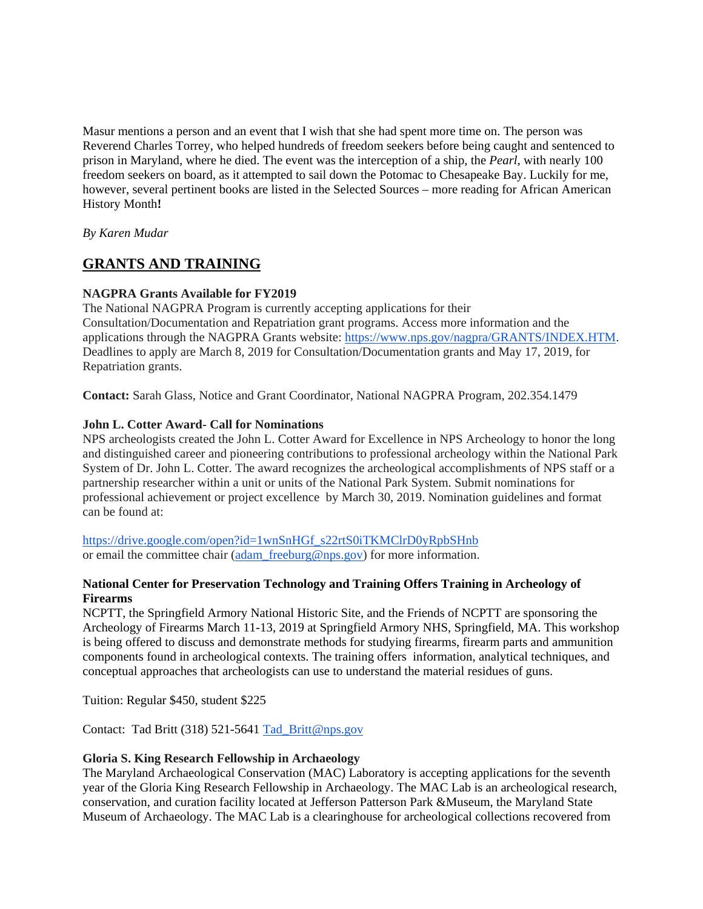Masur mentions a person and an event that I wish that she had spent more time on. The person was Reverend Charles Torrey, who helped hundreds of freedom seekers before being caught and sentenced to prison in Maryland, where he died. The event was the interception of a ship, the *Pearl*, with nearly 100 freedom seekers on board, as it attempted to sail down the Potomac to Chesapeake Bay. Luckily for me, however, several pertinent books are listed in the Selected Sources – more reading for African American History Month**!**

*By Karen Mudar*

# **GRANTS AND TRAINING**

# **NAGPRA Grants Available for FY2019**

The National NAGPRA Program is currently accepting applications for their Consultation/Documentation and Repatriation grant programs. Access more information and the applications through the NAGPRA Grants website: [https://www.nps.gov/nagpra/GRANTS/INDEX.HTM.](https://www.nps.gov/nagpra/GRANTS/INDEX.HTM) Deadlines to apply are March 8, 2019 for Consultation/Documentation grants and May 17, 2019, for Repatriation grants.

**Contact:** Sarah Glass, Notice and Grant Coordinator, National NAGPRA Program, 202.354.1479

# **John L. Cotter Award- Call for Nominations**

NPS archeologists created the John L. Cotter Award for Excellence in NPS Archeology to honor the long and distinguished career and pioneering contributions to professional archeology within the National Park System of Dr. John L. Cotter. The award recognizes the archeological accomplishments of NPS staff or a partnership researcher within a unit or units of the National Park System. Submit nominations for professional achievement or project excellence by March 30, 2019. Nomination guidelines and format can be found at:

[https://drive.google.com/open?id=1wnSnHGf\\_s22rtS0iTKMClrD0yRpbSHnb](https://drive.google.com/open?id=1wnSnHGf_s22rtS0iTKMClrD0yRpbSHnb) or email the committee chair [\(adam\\_freeburg@nps.gov\)](mailto:adam_freeburg@nps.gov) for more information.

# **National Center for Preservation Technology and Training Offers Training in Archeology of Firearms**

NCPTT, the Springfield Armory National Historic Site, and the Friends of NCPTT are sponsoring the Archeology of Firearms March 11-13, 2019 at Springfield Armory NHS, Springfield, MA. This workshop is being offered to discuss and demonstrate methods for studying firearms, firearm parts and ammunition components found in archeological contexts. The training offers information, analytical techniques, and conceptual approaches that archeologists can use to understand the material residues of guns.

Tuition: Regular \$450, student \$225

Contact: Tad Britt (318) 521-5641 [Tad\\_Britt@nps.gov](http://r20.rs6.net/tn.jsp?f=0012Ug6BoUPNySAPUlWjBliDHJBnRvUjICOD05SDfy0HIKbSPP0iW8EEUy-Rx-AqNG3IIU4e0GZvElUIN8JYPXyrNgIzxK6PfKmssYOoRklhlogq3zAOUWrb4v6c6E_63NTPpXvMy1w5lUod2_3VOMR109DCV5EY4X2d9WoZmsUFDoMzy3JWnnD-tJLTaJz3LdE9uCi0dYqSP4e-Iq746PMAq9lD4DcrUPCBFVThnWjvfPfFc4kalXYu0PPsWZ6bHkD&c=o0JMOve__0i5mkgr7dp7O0nNsfnIpRwVTzbMAwa85Ty-ydjlFm8ltg==&ch=3fhLXRsDK9zX8jDe4loysJAJDGCcOAQ9B43hFRCmJKUBvB8DGNdO-w==)

## **Gloria S. King Research Fellowship in Archaeology**

The Maryland Archaeological Conservation (MAC) Laboratory is accepting applications for the seventh year of the Gloria King Research Fellowship in Archaeology. The MAC Lab is an archeological research, conservation, and curation facility located at Jefferson Patterson Park &Museum, the Maryland State Museum of Archaeology. The MAC Lab is a clearinghouse for archeological collections recovered from